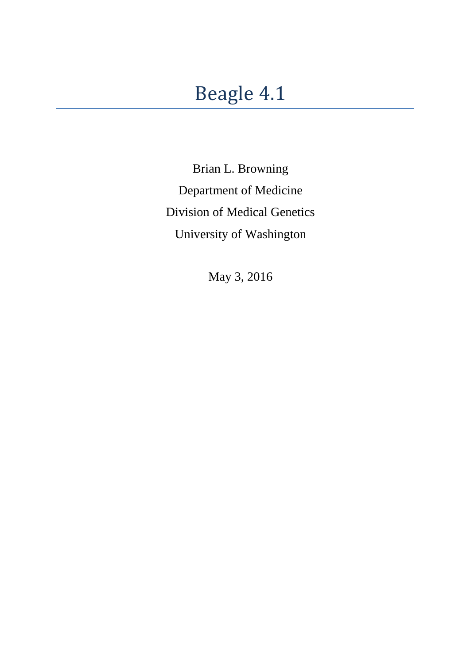# Beagle 4.1

Brian L. Browning Department of Medicine Division of Medical Genetics University of Washington

May 3, 2016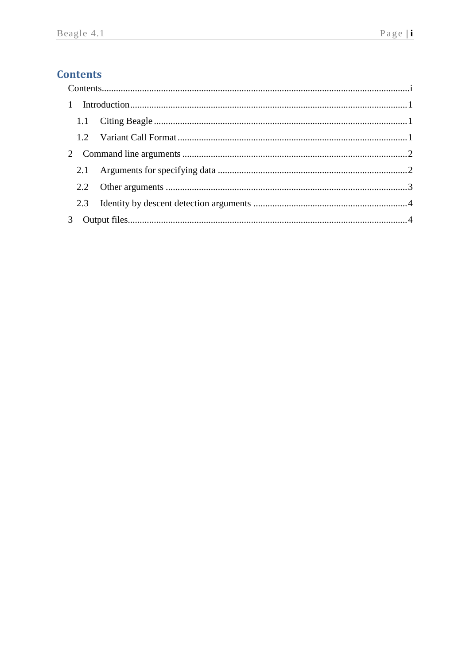## <span id="page-1-0"></span>**Contents**

| 3 |  |  |  |  |
|---|--|--|--|--|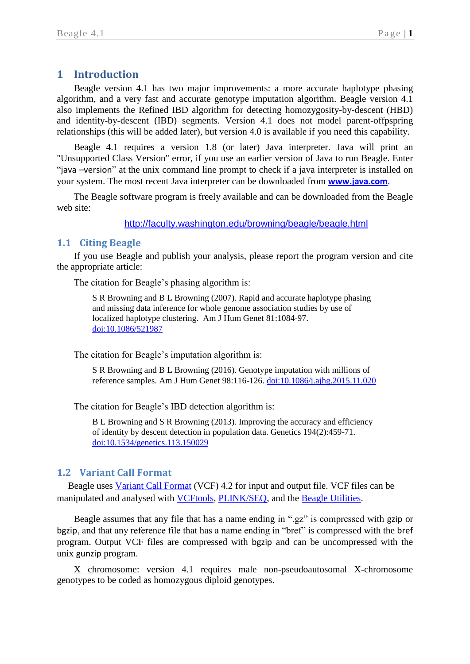## <span id="page-2-0"></span>**1 Introduction**

Beagle version 4.1 has two major improvements: a more accurate haplotype phasing algorithm, and a very fast and accurate genotype imputation algorithm. Beagle version 4.1 also implements the Refined IBD algorithm for detecting homozygosity-by-descent (HBD) and identity-by-descent (IBD) segments. Version 4.1 does not model parent-offpspring relationships (this will be added later), but version 4.0 is available if you need this capability.

Beagle 4.1 requires a version 1.8 (or later) Java interpreter. Java will print an "Unsupported Class Version" error, if you use an earlier version of Java to run Beagle. Enter "java –version" at the unix command line prompt to check if a java interpreter is installed on your system. The most recent Java interpreter can be downloaded from **[www.java.com](file:///C:/Users/browning/SkyDrive/Documents/My%20Articles/Word/Beagle%204%20docs/www.java.com)**.

The Beagle software program is freely available and can be downloaded from the Beagle web site:

<http://faculty.washington.edu/browning/beagle/beagle.html>

#### <span id="page-2-1"></span>**1.1 Citing Beagle**

If you use Beagle and publish your analysis, please report the program version and cite the appropriate article:

The citation for Beagle's phasing algorithm is:

S R Browning and B L Browning (2007). Rapid and accurate haplotype phasing and missing data inference for whole genome association studies by use of localized haplotype clustering. Am J Hum Genet 81:1084-97. [doi:10.1086/521987](http://dx.doi.org/10.1086/521987)

The citation for Beagle's imputation algorithm is:

S R Browning and B L Browning (2016). Genotype imputation with millions of reference samples. Am J Hum Genet 98:116-126. [doi:10.1086/j.ajhg.2015.11.020](http://dx.doi.org/doi:10.1016/j.ajhg.2015.11.020)

The citation for Beagle's IBD detection algorithm is:

B L Browning and S R Browning (2013). Improving the accuracy and efficiency of identity by descent detection in population data. Genetics 194(2):459-71. [doi:10.1534/genetics.113.150029](http://dx.doi.org/10.1534/genetics.113.150029)

## <span id="page-2-2"></span>**1.2 Variant Call Format**

Beagle uses Variant [Call Format](http://faculty.washington.edu/browning/beagle/intro-to-vcf.html) (VCF) 4.2 for input and output file. VCF files can be manipulated and analysed with [VCFtools,](https://vcftools.github.io/index.html) [PLINK/SEQ,](https://atgu.mgh.harvard.edu/plinkseq/) and the [Beagle Utilities.](http://faculty.washington.edu/browning/beagle_utilities/utilities.html)

Beagle assumes that any file that has a name ending in ".gz" is compressed with gzip or bgzip, and that any reference file that has a name ending in "bref" is compressed with the bref program. Output VCF files are compressed with bgzip and can be uncompressed with the unix gunzip program.

X chromosome: version 4.1 requires male non-pseudoautosomal X-chromosome genotypes to be coded as homozygous diploid genotypes.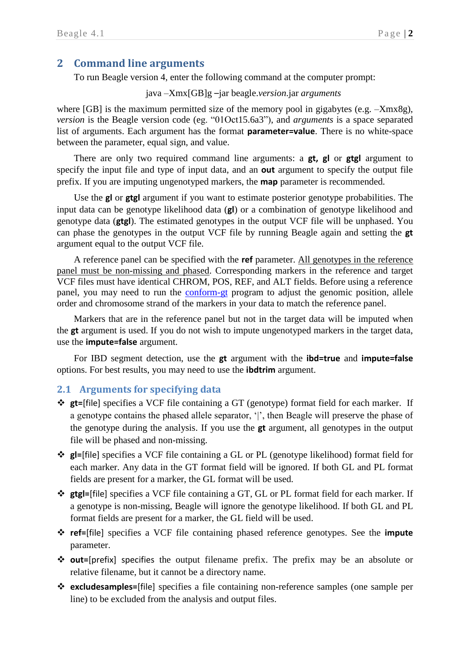## <span id="page-3-0"></span>**2 Command line arguments**

To run Beagle version 4, enter the following command at the computer prompt:

#### java –Xmx[GB]g –jar beagle.*version*.jar *arguments*

where [GB] is the maximum permitted size of the memory pool in gigabytes (e.g.  $-Xmx8g$ ), *version* is the Beagle version code (eg. "01Oct15.6a3"), and *arguments* is a space separated list of arguments. Each argument has the format **parameter=value**. There is no white-space between the parameter, equal sign, and value.

There are only two required command line arguments: a **gt, gl** or **gtgl** argument to specify the input file and type of input data, and an **out** argument to specify the output file prefix. If you are imputing ungenotyped markers, the **map** parameter is recommended.

Use the **gl** or **gtgl** argument if you want to estimate posterior genotype probabilities. The input data can be genotype likelihood data (**gl**) or a combination of genotype likelihood and genotype data (**gtgl**). The estimated genotypes in the output VCF file will be unphased. You can phase the genotypes in the output VCF file by running Beagle again and setting the **gt** argument equal to the output VCF file.

A reference panel can be specified with the **ref** parameter. All genotypes in the reference panel must be non-missing and phased. Corresponding markers in the reference and target VCF files must have identical CHROM, POS, REF, and ALT fields. Before using a reference panel, you may need to run the [conform-gt](http://faculty.washington.edu/browning/conform-gt.html) program to adjust the genomic position, allele order and chromosome strand of the markers in your data to match the reference panel.

Markers that are in the reference panel but not in the target data will be imputed when the **gt** argument is used. If you do not wish to impute ungenotyped markers in the target data, use the **impute=false** argument.

For IBD segment detection, use the **gt** argument with the **ibd=true** and **impute=false** options. For best results, you may need to use the **ibdtrim** argument.

## <span id="page-3-1"></span>**2.1 Arguments for specifying data**

- **gt=**[file] specifies a VCF file containing a GT (genotype) format field for each marker. If a genotype contains the phased allele separator, '|', then Beagle will preserve the phase of the genotype during the analysis. If you use the **gt** argument, all genotypes in the output file will be phased and non-missing.
- **gl=**[file] specifies a VCF file containing a GL or PL (genotype likelihood) format field for each marker. Any data in the GT format field will be ignored. If both GL and PL format fields are present for a marker, the GL format will be used.
- **gtgl=**[file] specifies a VCF file containing a GT, GL or PL format field for each marker. If a genotype is non-missing, Beagle will ignore the genotype likelihood. If both GL and PL format fields are present for a marker, the GL field will be used.
- **ref=**[file] specifies a VCF file containing phased reference genotypes. See the **impute** parameter.
- **out=**[prefix] specifies the output filename prefix. The prefix may be an absolute or relative filename, but it cannot be a directory name.
- **excludesamples=**[file] specifies a file containing non-reference samples (one sample per line) to be excluded from the analysis and output files.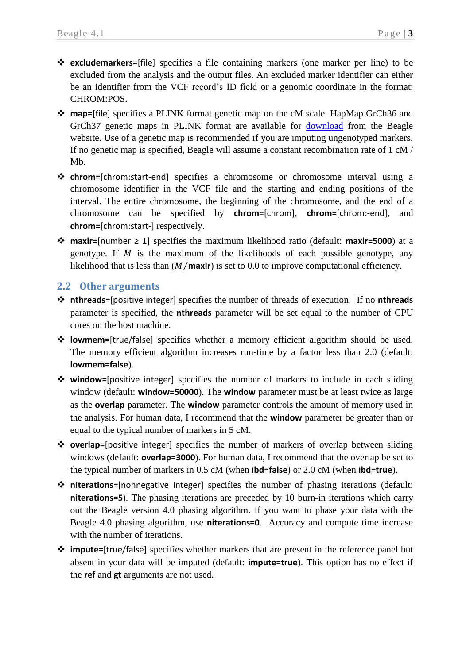- **excludemarkers=**[file] specifies a file containing markers (one marker per line) to be excluded from the analysis and the output files. An excluded marker identifier can either be an identifier from the VCF record's ID field or a genomic coordinate in the format: CHROM:POS.
- **map=**[file] specifies a PLINK format genetic map on the cM scale. HapMap GrCh36 and GrCh37 genetic maps in PLINK format are available for [download](http://bochet.gcc.biostat.washington.edu/beagle/genetic_maps/) from the Beagle website. Use of a genetic map is recommended if you are imputing ungenotyped markers. If no genetic map is specified, Beagle will assume a constant recombination rate of 1 cM / Mb.
- **chrom=**[chrom:start-end] specifies a chromosome or chromosome interval using a chromosome identifier in the VCF file and the starting and ending positions of the interval. The entire chromosome, the beginning of the chromosome, and the end of a chromosome can be specified by **chrom**=[chrom], **chrom=**[chrom:-end], and **chrom=**[chrom:start-] respectively.
- **maxlr=**[number ≥ 1] specifies the maximum likelihood ratio (default: **maxlr=5000**) at a genotype. If  $M$  is the maximum of the likelihoods of each possible genotype, any likelihood that is less than  $(M/max/r)$  is set to 0.0 to improve computational efficiency.

#### <span id="page-4-0"></span>**2.2 Other arguments**

- **nthreads=**[positive integer] specifies the number of threads of execution. If no **nthreads** parameter is specified, the **nthreads** parameter will be set equal to the number of CPU cores on the host machine.
- **lowmem=**[true/false] specifies whether a memory efficient algorithm should be used. The memory efficient algorithm increases run-time by a factor less than 2.0 (default: **lowmem=false**).
- **window=**[positive integer] specifies the number of markers to include in each sliding window (default: **window=50000**). The **window** parameter must be at least twice as large as the **overlap** parameter. The **window** parameter controls the amount of memory used in the analysis. For human data, I recommend that the **window** parameter be greater than or equal to the typical number of markers in 5 cM.
- **overlap=**[positive integer] specifies the number of markers of overlap between sliding windows (default: **overlap=3000**). For human data, I recommend that the overlap be set to the typical number of markers in 0.5 cM (when **ibd=false**) or 2.0 cM (when **ibd=true**).
- **niterations=**[nonnegative integer] specifies the number of phasing iterations (default: **niterations=5**). The phasing iterations are preceded by 10 burn-in iterations which carry out the Beagle version 4.0 phasing algorithm. If you want to phase your data with the Beagle 4.0 phasing algorithm, use **niterations=0**. Accuracy and compute time increase with the number of iterations.
- **impute=**[true/false] specifies whether markers that are present in the reference panel but absent in your data will be imputed (default: **impute=true**). This option has no effect if the **ref** and **gt** arguments are not used.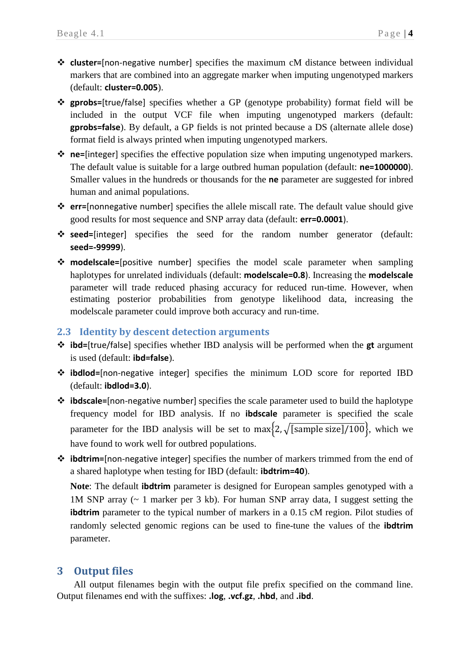- **cluster=**[non-negative number] specifies the maximum cM distance between individual markers that are combined into an aggregate marker when imputing ungenotyped markers (default: **cluster=0.005**).
- **gprobs=**[true/false] specifies whether a GP (genotype probability) format field will be included in the output VCF file when imputing ungenotyped markers (default: **gprobs=false**). By default, a GP fields is not printed because a DS (alternate allele dose) format field is always printed when imputing ungenotyped markers.
- **ne=**[integer] specifies the effective population size when imputing ungenotyped markers. The default value is suitable for a large outbred human population (default: **ne=1000000**). Smaller values in the hundreds or thousands for the **ne** parameter are suggested for inbred human and animal populations.
- **err=**[nonnegative number] specifies the allele miscall rate. The default value should give good results for most sequence and SNP array data (default: **err=0.0001**).
- **seed=**[integer] specifies the seed for the random number generator (default: **seed=-99999**).
- **modelscale=**[positive number] specifies the model scale parameter when sampling haplotypes for unrelated individuals (default: **modelscale=0.8**). Increasing the **modelscale** parameter will trade reduced phasing accuracy for reduced run-time. However, when estimating posterior probabilities from genotype likelihood data, increasing the modelscale parameter could improve both accuracy and run-time.

### <span id="page-5-0"></span>**2.3 Identity by descent detection arguments**

- **ibd=**[true/false] specifies whether IBD analysis will be performed when the **gt** argument is used (default: **ibd=false**).
- **ibdlod=**[non-negative integer] specifies the minimum LOD score for reported IBD (default: **ibdlod=3.0**).
- **ibdscale=**[non-negative number] specifies the scale parameter used to build the haplotype frequency model for IBD analysis. If no **ibdscale** parameter is specified the scale parameter for the IBD analysis will be set to max $\{2, \sqrt{[sample size]/100}\}\$ , which we have found to work well for outbred populations.
- **ibdtrim=**[non-negative integer] specifies the number of markers trimmed from the end of a shared haplotype when testing for IBD (default: **ibdtrim=40**).

**Note**: The default **ibdtrim** parameter is designed for European samples genotyped with a 1M SNP array (~ 1 marker per 3 kb). For human SNP array data, I suggest setting the **ibdtrim** parameter to the typical number of markers in a 0.15 cM region. Pilot studies of randomly selected genomic regions can be used to fine-tune the values of the **ibdtrim** parameter.

## <span id="page-5-1"></span>**3 Output files**

All output filenames begin with the output file prefix specified on the command line. Output filenames end with the suffixes: **.log**, **.vcf.gz**, **.hbd**, and **.ibd**.